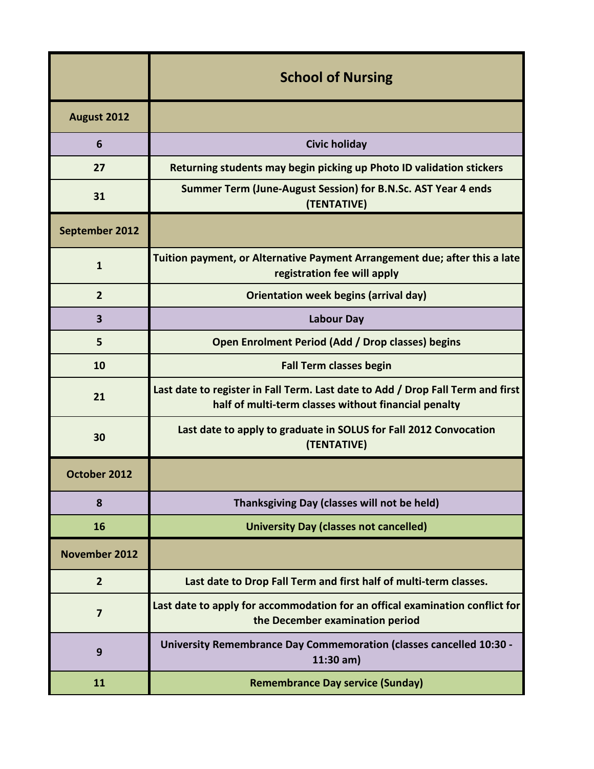|                         | <b>School of Nursing</b>                                                                                                                |
|-------------------------|-----------------------------------------------------------------------------------------------------------------------------------------|
| August 2012             |                                                                                                                                         |
| 6                       | <b>Civic holiday</b>                                                                                                                    |
| 27                      | Returning students may begin picking up Photo ID validation stickers                                                                    |
| 31                      | Summer Term (June-August Session) for B.N.Sc. AST Year 4 ends<br>(TENTATIVE)                                                            |
| September 2012          |                                                                                                                                         |
| $\mathbf{1}$            | Tuition payment, or Alternative Payment Arrangement due; after this a late<br>registration fee will apply                               |
| $\overline{2}$          | <b>Orientation week begins (arrival day)</b>                                                                                            |
| $\overline{\mathbf{3}}$ | <b>Labour Day</b>                                                                                                                       |
| 5                       | Open Enrolment Period (Add / Drop classes) begins                                                                                       |
| 10                      | <b>Fall Term classes begin</b>                                                                                                          |
| 21                      | Last date to register in Fall Term. Last date to Add / Drop Fall Term and first<br>half of multi-term classes without financial penalty |
| 30                      | Last date to apply to graduate in SOLUS for Fall 2012 Convocation<br>(TENTATIVE)                                                        |
| October 2012            |                                                                                                                                         |
| 8                       | Thanksgiving Day (classes will not be held)                                                                                             |
| 16                      | <b>University Day (classes not cancelled)</b>                                                                                           |
| <b>November 2012</b>    |                                                                                                                                         |
| $\overline{2}$          | Last date to Drop Fall Term and first half of multi-term classes.                                                                       |
| $\overline{\mathbf{z}}$ | Last date to apply for accommodation for an offical examination conflict for<br>the December examination period                         |
| 9                       | <b>University Remembrance Day Commemoration (classes cancelled 10:30 -</b><br>$11:30$ am)                                               |
| 11                      | <b>Remembrance Day service (Sunday)</b>                                                                                                 |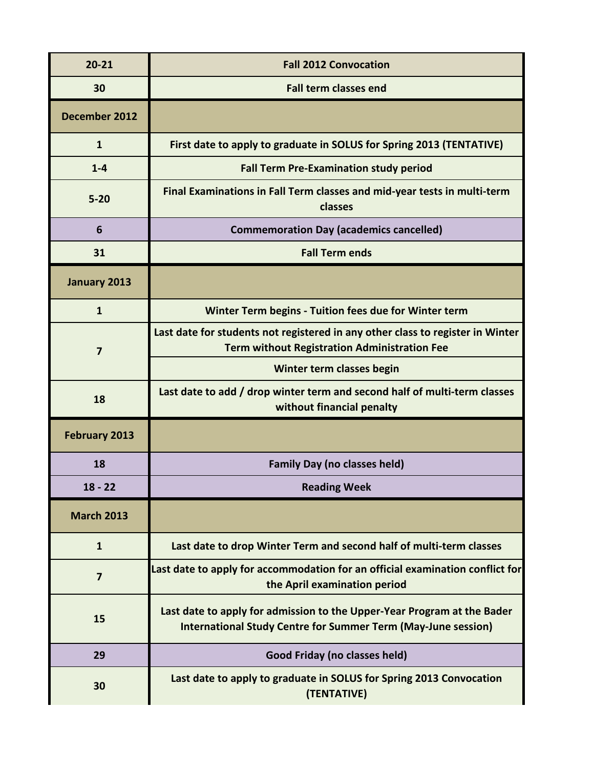| $20 - 21$               | <b>Fall 2012 Convocation</b>                                                                                                                    |
|-------------------------|-------------------------------------------------------------------------------------------------------------------------------------------------|
| 30                      | <b>Fall term classes end</b>                                                                                                                    |
| December 2012           |                                                                                                                                                 |
| $\mathbf{1}$            | First date to apply to graduate in SOLUS for Spring 2013 (TENTATIVE)                                                                            |
| $1 - 4$                 | <b>Fall Term Pre-Examination study period</b>                                                                                                   |
| $5 - 20$                | Final Examinations in Fall Term classes and mid-year tests in multi-term<br>classes                                                             |
| 6                       | <b>Commemoration Day (academics cancelled)</b>                                                                                                  |
| 31                      | <b>Fall Term ends</b>                                                                                                                           |
| January 2013            |                                                                                                                                                 |
| $\mathbf{1}$            | Winter Term begins - Tuition fees due for Winter term                                                                                           |
| $\overline{7}$          | Last date for students not registered in any other class to register in Winter<br><b>Term without Registration Administration Fee</b>           |
|                         | Winter term classes begin                                                                                                                       |
| 18                      | Last date to add / drop winter term and second half of multi-term classes<br>without financial penalty                                          |
| <b>February 2013</b>    |                                                                                                                                                 |
| 18                      | <b>Family Day (no classes held)</b>                                                                                                             |
| $18 - 22$               | <b>Reading Week</b>                                                                                                                             |
| <b>March 2013</b>       |                                                                                                                                                 |
| $\mathbf{1}$            | Last date to drop Winter Term and second half of multi-term classes                                                                             |
| $\overline{\mathbf{z}}$ | Last date to apply for accommodation for an official examination conflict for<br>the April examination period                                   |
| 15                      | Last date to apply for admission to the Upper-Year Program at the Bader<br><b>International Study Centre for Summer Term (May-June session)</b> |
| 29                      | Good Friday (no classes held)                                                                                                                   |
| 30                      | Last date to apply to graduate in SOLUS for Spring 2013 Convocation<br>(TENTATIVE)                                                              |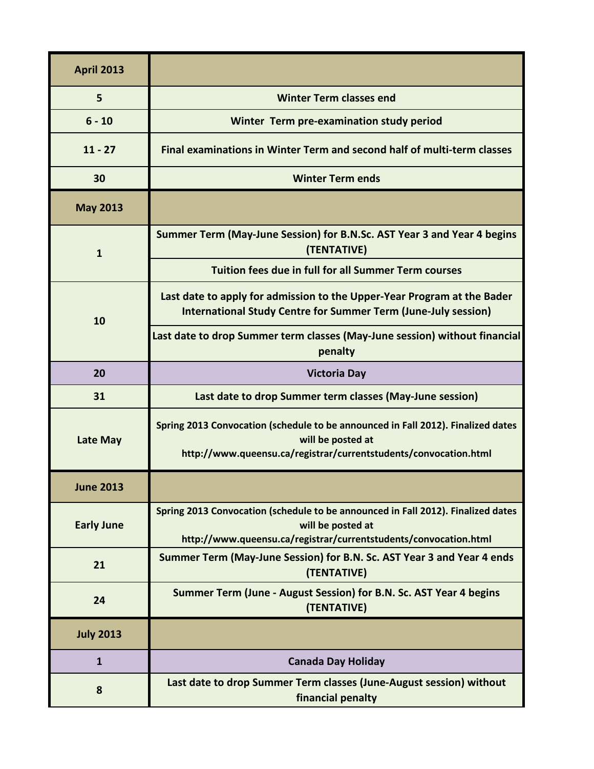| <b>April 2013</b> |                                                                                                                                                                           |
|-------------------|---------------------------------------------------------------------------------------------------------------------------------------------------------------------------|
| 5                 | <b>Winter Term classes end</b>                                                                                                                                            |
| $6 - 10$          | Winter Term pre-examination study period                                                                                                                                  |
| $11 - 27$         | Final examinations in Winter Term and second half of multi-term classes                                                                                                   |
| 30                | <b>Winter Term ends</b>                                                                                                                                                   |
| <b>May 2013</b>   |                                                                                                                                                                           |
| $\mathbf{1}$      | Summer Term (May-June Session) for B.N.Sc. AST Year 3 and Year 4 begins<br>(TENTATIVE)                                                                                    |
|                   | <b>Tuition fees due in full for all Summer Term courses</b>                                                                                                               |
| 10                | Last date to apply for admission to the Upper-Year Program at the Bader<br><b>International Study Centre for Summer Term (June-July session)</b>                          |
|                   | Last date to drop Summer term classes (May-June session) without financial<br>penalty                                                                                     |
| 20                | <b>Victoria Day</b>                                                                                                                                                       |
| 31                | Last date to drop Summer term classes (May-June session)                                                                                                                  |
| <b>Late May</b>   | Spring 2013 Convocation (schedule to be announced in Fall 2012). Finalized dates<br>will be posted at<br>http://www.queensu.ca/registrar/currentstudents/convocation.html |
| <b>June 2013</b>  |                                                                                                                                                                           |
| <b>Early June</b> | Spring 2013 Convocation (schedule to be announced in Fall 2012). Finalized dates<br>will be posted at<br>http://www.queensu.ca/registrar/currentstudents/convocation.html |
| 21                | Summer Term (May-June Session) for B.N. Sc. AST Year 3 and Year 4 ends<br>(TENTATIVE)                                                                                     |
| 24                | Summer Term (June - August Session) for B.N. Sc. AST Year 4 begins<br>(TENTATIVE)                                                                                         |
| <b>July 2013</b>  |                                                                                                                                                                           |
| $\mathbf{1}$      | <b>Canada Day Holiday</b>                                                                                                                                                 |
| 8                 | Last date to drop Summer Term classes (June-August session) without<br>financial penalty                                                                                  |